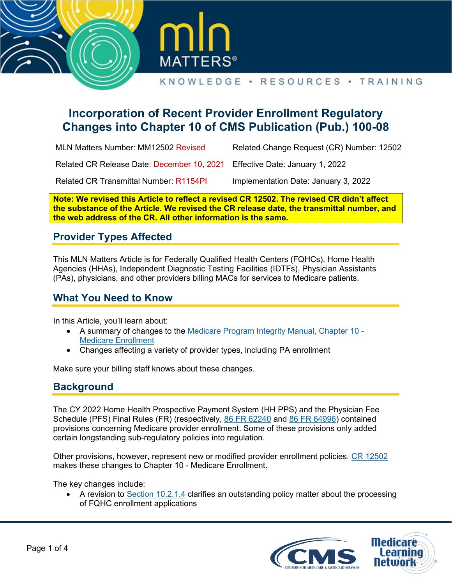



# **Incorporation of Recent Provider Enrollment Regulatory Changes into Chapter 10 of CMS Publication (Pub.) 100-08**

| MLN Matters Number: MM12502 Revised                                        | Related Change Request (CR) Number: 12502 |
|----------------------------------------------------------------------------|-------------------------------------------|
| Related CR Release Date: December 10, 2021 Effective Date: January 1, 2022 |                                           |
| <b>Related CR Transmittal Number: R1154PI</b>                              | Implementation Date: January 3, 2022      |

**Note: We revised this Article to reflect a revised CR 12502. The revised CR didn't affect the substance of the Article. We revised the CR release date, the transmittal number, and the web address of the CR. All other information is the same.** 

# **Provider Types Affected**

This MLN Matters Article is for Federally Qualified Health Centers (FQHCs), Home Health Agencies (HHAs), Independent Diagnostic Testing Facilities (IDTFs), Physician Assistants (PAs), physicians, and other providers billing MACs for services to Medicare patients.

# **What You Need to Know**

In this Article, you'll learn about:

- A summary of changes to the [Medicare Program Integrity Manual, Chapter 10](https://www.cms.gov/files/document/r11154PI.pdf#page=7)  [Medicare Enrollment](https://www.cms.gov/files/document/r11154PI.pdf#page=7)
- Changes affecting a variety of provider types, including PA enrollment

Make sure your billing staff knows about these changes.

### **Background**

The CY 2022 Home Health Prospective Payment System (HH PPS) and the Physician Fee Schedule (PFS) Final Rules (FR) (respectively, [86 FR 62240](https://www.federalregister.gov/documents/2021/11/09/2021-23993/medicare-and-medicaid-programs-cy-2022-home-health-prospective-payment-system-rate-update-home) and [86 FR 64996\)](https://www.govinfo.gov/content/pkg/FR-2021-11-19/pdf/2021-23972.pdf) contained provisions concerning Medicare provider enrollment. Some of these provisions only added certain longstanding sub-regulatory policies into regulation.

Other provisions, however, represent new or modified provider enrollment policies. [CR 12502](https://www.cms.gov/files/document/r11154PI.pdf) makes these changes to Chapter 10 - Medicare Enrollment.

The key changes include:

• A revision to [Section 10.2.1.4](https://www.cms.gov/files/document/r11154PI.pdf#page=13) clarifies an outstanding policy matter about the processing of FQHC enrollment applications

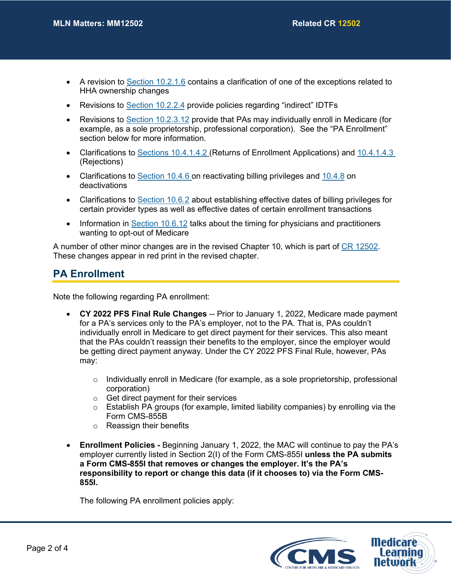- A revision to [Section 10.2.1.6](https://www.cms.gov/files/document/r11154PI.pdf#page=18) contains a clarification of one of the exceptions related to HHA ownership changes
- Revisions to [Section 10.2.2.4](https://www.cms.gov/files/document/r11154PI.pdf#page=27) provide policies regarding "indirect" IDTFs
- Revisions to [Section 10.2.3.12](https://www.cms.gov/files/document/r11154PI.pdf#page=39) provide that PAs may individually enroll in Medicare (for example, as a sole proprietorship, professional corporation). See the "PA Enrollment" section below for more information.
- Clarifications to [Sections 10.4.1.4.2 \(](https://www.cms.gov/files/document/r11154PI.pdf#page=42)Returns of Enrollment Applications) and 10.4.1.4.3 (Rejections)
- Clarifications to [Section 10.4.6 o](https://www.cms.gov/files/document/r11154PI.pdf#page=57)n reactivating billing privileges and [10.4.8](https://www.cms.gov/files/document/r11154PI.pdf#page=71) on deactivations
- Clarifications to [Section 10.6.2](https://www.cms.gov/files/document/r11154PI.pdf#page=79) about establishing effective dates of billing privileges for certain provider types as well as effective dates of certain enrollment transactions
- Information in [Section 10.6.12](https://www.cms.gov/files/document/r11154PI.pdf#page=83) talks about the timing for physicians and practitioners wanting to opt-out of Medicare

A number of other minor changes are in the revised Chapter 10, which is part of [CR 12502.](https://www.cms.gov/files/document/r11154PI.pdf) These changes appear in red print in the revised chapter.

### **PA Enrollment**

Note the following regarding PA enrollment:

- **CY 2022 PFS Final Rule Changes** -- Prior to January 1, 2022, Medicare made payment for a PA's services only to the PA's employer, not to the PA. That is, PAs couldn't individually enroll in Medicare to get direct payment for their services. This also meant that the PAs couldn't reassign their benefits to the employer, since the employer would be getting direct payment anyway. Under the CY 2022 PFS Final Rule, however, PAs may:
	- $\circ$  Individually enroll in Medicare (for example, as a sole proprietorship, professional corporation)
	- o Get direct payment for their services
	- $\circ$  Establish PA groups (for example, limited liability companies) by enrolling via the Form CMS-855B
	- o Reassign their benefits
- **Enrollment Policies** Beginning January 1, 2022, the MAC will continue to pay the PA's employer currently listed in Section 2(I) of the Form CMS-855I **unless the PA submits a Form CMS-855I that removes or changes the employer. It's the PA's responsibility to report or change this data (if it chooses to) via the Form CMS-855I.**

The following PA enrollment policies apply:

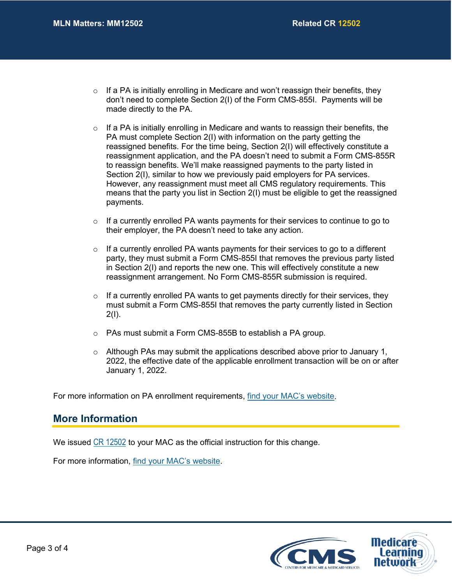- $\circ$  If a PA is initially enrolling in Medicare and won't reassign their benefits, they don't need to complete Section 2(I) of the Form CMS-855I. Payments will be made directly to the PA.
- $\circ$  If a PA is initially enrolling in Medicare and wants to reassign their benefits, the PA must complete Section 2(I) with information on the party getting the reassigned benefits. For the time being, Section 2(I) will effectively constitute a reassignment application, and the PA doesn't need to submit a Form CMS-855R to reassign benefits. We'll make reassigned payments to the party listed in Section 2(I), similar to how we previously paid employers for PA services. However, any reassignment must meet all CMS regulatory requirements. This means that the party you list in Section 2(I) must be eligible to get the reassigned payments.
- $\circ$  If a currently enrolled PA wants payments for their services to continue to go to their employer, the PA doesn't need to take any action.
- $\circ$  If a currently enrolled PA wants payments for their services to go to a different party, they must submit a Form CMS-855I that removes the previous party listed in Section 2(I) and reports the new one. This will effectively constitute a new reassignment arrangement. No Form CMS-855R submission is required.
- $\circ$  If a currently enrolled PA wants to get payments directly for their services, they must submit a Form CMS-855I that removes the party currently listed in Section 2(I).
- o PAs must submit a Form CMS-855B to establish a PA group.
- $\circ$  Although PAs may submit the applications described above prior to January 1, 2022, the effective date of the applicable enrollment transaction will be on or after January 1, 2022.

For more information on PA enrollment requirements, [find your MAC's website.](http://go.cms.gov/MAC-website-list)

#### **More Information**

We issued [CR 12502](https://www.cms.gov/files/document/r11154PI.pdf) to your MAC as the official instruction for this change.

For more information, [find your MAC's website.](http://go.cms.gov/MAC-website-list)